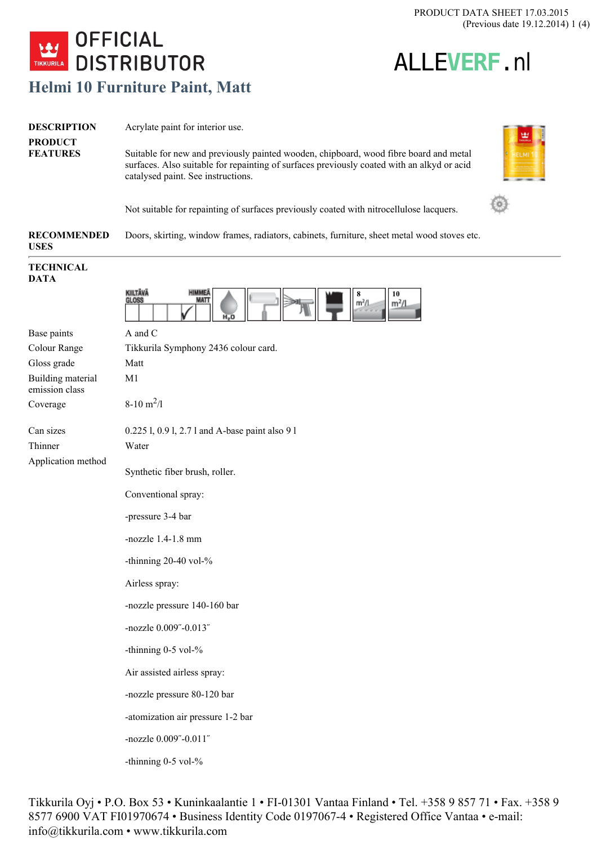ALLE**VERF**.nl



| <b>DESCRIPTION</b><br><b>PRODUCT</b><br><b>FEATURES</b> | Acrylate paint for interior use.<br>Suitable for new and previously painted wooden, chipboard, wood fibre board and metal<br>surfaces. Also suitable for repainting of surfaces previously coated with an alkyd or acid<br>catalysed paint. See instructions. |  |
|---------------------------------------------------------|---------------------------------------------------------------------------------------------------------------------------------------------------------------------------------------------------------------------------------------------------------------|--|
|                                                         | Not suitable for repainting of surfaces previously coated with nitrocellulose lacquers.                                                                                                                                                                       |  |
| <b>RECOMMENDED</b><br><b>USES</b>                       | Doors, skirting, window frames, radiators, cabinets, furniture, sheet metal wood stoves etc.                                                                                                                                                                  |  |
| <b>TECHNICAL</b><br><b>DATA</b>                         |                                                                                                                                                                                                                                                               |  |
|                                                         | KIILTÄVÄ<br><b>HIMME</b><br>10<br>GLOSS<br>MAT<br>m <sup>2</sup> /l<br>m <sup>2</sup> /L                                                                                                                                                                      |  |

| Base paints                         | A and C                                         |
|-------------------------------------|-------------------------------------------------|
| Colour Range                        | Tikkurila Symphony 2436 colour card.            |
| Gloss grade                         | Matt                                            |
| Building material<br>emission class | M <sub>1</sub>                                  |
| Coverage                            | $8-10 \text{ m}^2$ /1                           |
| Can sizes                           | 0.225 1, 0.9 1, 2.7 1 and A-base paint also 9 1 |
| Thinner                             | Water                                           |
| Application method                  | Synthetic fiber brush, roller.                  |
|                                     | Conventional spray:                             |
|                                     | -pressure 3-4 bar                               |
|                                     | -nozzle $1.4-1.8$ mm                            |
|                                     | -thinning $20-40$ vol- $%$                      |
|                                     | Airless spray:                                  |
|                                     | -nozzle pressure 140-160 bar                    |
|                                     | -nozzle 0.009"-0.013"                           |
|                                     | -thinning $0-5$ vol- $%$                        |
|                                     | Air assisted airless spray:                     |
|                                     | -nozzle pressure 80-120 bar                     |
|                                     | -atomization air pressure 1-2 bar               |
|                                     | -nozzle 0.009"-0.011"                           |
|                                     | -thinning 0-5 vol-%                             |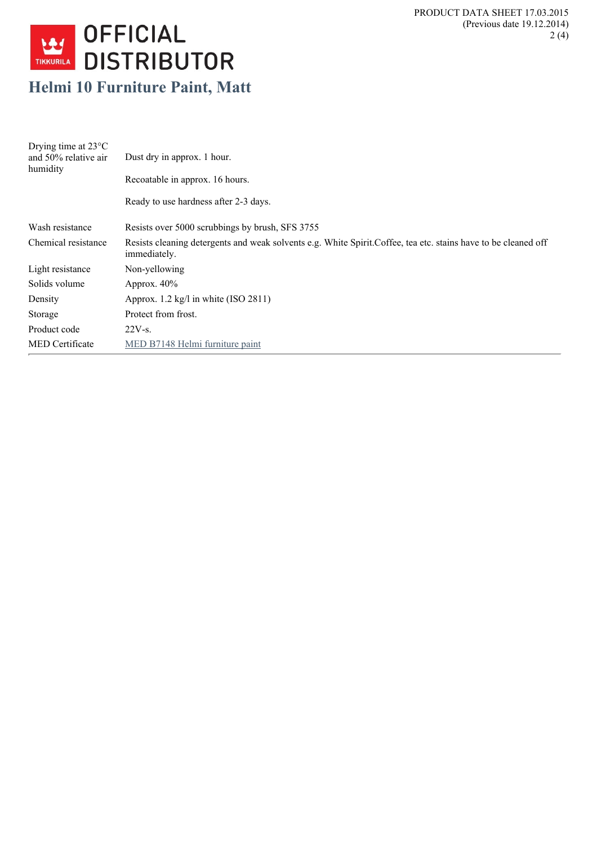

## **Helmi 10 Furniture Paint, Matt**

| Drying time at $23^{\circ}$ C<br>and 50% relative air<br>humidity | Dust dry in approx. 1 hour.<br>Recoatable in approx. 16 hours.                                                                 |
|-------------------------------------------------------------------|--------------------------------------------------------------------------------------------------------------------------------|
|                                                                   | Ready to use hardness after 2-3 days.                                                                                          |
| Wash resistance                                                   | Resists over 5000 scrubbings by brush, SFS 3755                                                                                |
| Chemical resistance                                               | Resists cleaning detergents and weak solvents e.g. White Spirit Coffee, tea etc. stains have to be cleaned off<br>immediately. |
| Light resistance                                                  | Non-yellowing                                                                                                                  |
| Solids volume                                                     | Approx. $40\%$                                                                                                                 |
| Density                                                           | Approx. $1.2 \text{ kg/l}$ in white (ISO 2811)                                                                                 |
| Storage                                                           | Protect from frost.                                                                                                            |
| Product code                                                      | $22V-S$ .                                                                                                                      |
| <b>MED</b> Certificate                                            | MED B7148 Helmi furniture paint                                                                                                |
|                                                                   |                                                                                                                                |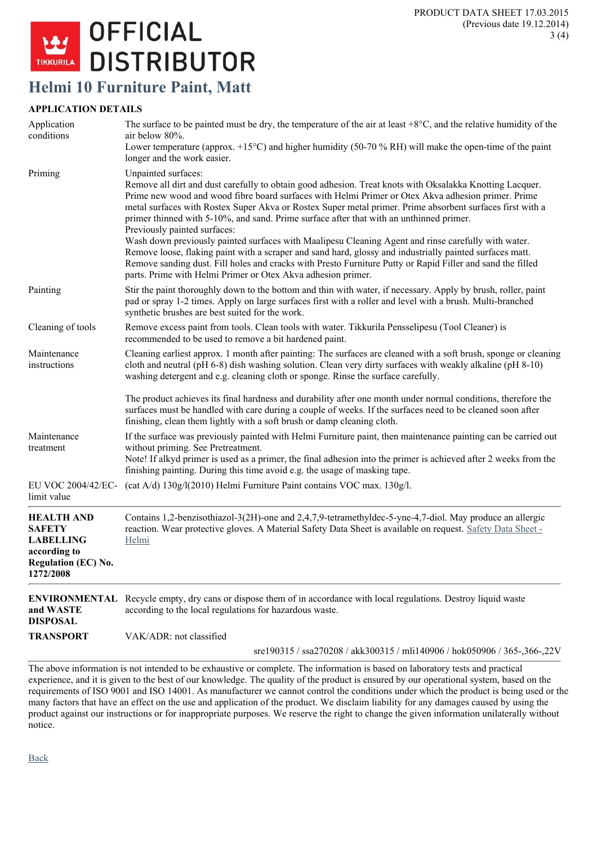

## **Helmi 10 Furniture Paint, Matt**

## **APPLICATION DETAILS**

| Application<br>conditions                                                                                         | The surface to be painted must be dry, the temperature of the air at least $+8^{\circ}$ C, and the relative humidity of the<br>air below 80%.                                                                                                                                                                                                                                                                                                                                                                                                                                                                                                                                                                                                                                                                  |
|-------------------------------------------------------------------------------------------------------------------|----------------------------------------------------------------------------------------------------------------------------------------------------------------------------------------------------------------------------------------------------------------------------------------------------------------------------------------------------------------------------------------------------------------------------------------------------------------------------------------------------------------------------------------------------------------------------------------------------------------------------------------------------------------------------------------------------------------------------------------------------------------------------------------------------------------|
|                                                                                                                   | Lower temperature (approx. $+15^{\circ}$ C) and higher humidity (50-70 % RH) will make the open-time of the paint<br>longer and the work easier.                                                                                                                                                                                                                                                                                                                                                                                                                                                                                                                                                                                                                                                               |
| Priming                                                                                                           | Unpainted surfaces:<br>Remove all dirt and dust carefully to obtain good adhesion. Treat knots with Oksalakka Knotting Lacquer.<br>Prime new wood and wood fibre board surfaces with Helmi Primer or Otex Akva adhesion primer. Prime<br>metal surfaces with Rostex Super Akva or Rostex Super metal primer. Prime absorbent surfaces first with a<br>primer thinned with 5-10%, and sand. Prime surface after that with an unthinned primer.<br>Previously painted surfaces:<br>Wash down previously painted surfaces with Maalipesu Cleaning Agent and rinse carefully with water.<br>Remove loose, flaking paint with a scraper and sand hard, glossy and industrially painted surfaces matt.<br>Remove sanding dust. Fill holes and cracks with Presto Furniture Putty or Rapid Filler and sand the filled |
| Painting                                                                                                          | parts. Prime with Helmi Primer or Otex Akva adhesion primer.<br>Stir the paint thoroughly down to the bottom and thin with water, if necessary. Apply by brush, roller, paint<br>pad or spray 1-2 times. Apply on large surfaces first with a roller and level with a brush. Multi-branched<br>synthetic brushes are best suited for the work.                                                                                                                                                                                                                                                                                                                                                                                                                                                                 |
| Cleaning of tools                                                                                                 | Remove excess paint from tools. Clean tools with water. Tikkurila Pensselipesu (Tool Cleaner) is<br>recommended to be used to remove a bit hardened paint.                                                                                                                                                                                                                                                                                                                                                                                                                                                                                                                                                                                                                                                     |
| Maintenance<br>instructions                                                                                       | Cleaning earliest approx. 1 month after painting: The surfaces are cleaned with a soft brush, sponge or cleaning<br>cloth and neutral (pH 6-8) dish washing solution. Clean very dirty surfaces with weakly alkaline (pH 8-10)<br>washing detergent and e.g. cleaning cloth or sponge. Rinse the surface carefully.                                                                                                                                                                                                                                                                                                                                                                                                                                                                                            |
|                                                                                                                   | The product achieves its final hardness and durability after one month under normal conditions, therefore the<br>surfaces must be handled with care during a couple of weeks. If the surfaces need to be cleaned soon after<br>finishing, clean them lightly with a soft brush or damp cleaning cloth.                                                                                                                                                                                                                                                                                                                                                                                                                                                                                                         |
| Maintenance<br>treatment                                                                                          | If the surface was previously painted with Helmi Furniture paint, then maintenance painting can be carried out<br>without priming. See Pretreatment.<br>Note! If alkyd primer is used as a primer, the final adhesion into the primer is achieved after 2 weeks from the<br>finishing painting. During this time avoid e.g. the usage of masking tape.                                                                                                                                                                                                                                                                                                                                                                                                                                                         |
| EU VOC 2004/42/EC-<br>limit value                                                                                 | (cat A/d) 130g/l(2010) Helmi Furniture Paint contains VOC max. 130g/l.                                                                                                                                                                                                                                                                                                                                                                                                                                                                                                                                                                                                                                                                                                                                         |
| <b>HEALTH AND</b><br><b>SAFETY</b><br><b>LABELLING</b><br>according to<br><b>Regulation (EC) No.</b><br>1272/2008 | Contains 1,2-benzisothiazol-3(2H)-one and 2,4,7,9-tetramethyldec-5-yne-4,7-diol. May produce an allergic<br>reaction. Wear protective gloves. A Material Safety Data Sheet is available on request. Safety Data Sheet -<br>Helmi                                                                                                                                                                                                                                                                                                                                                                                                                                                                                                                                                                               |
| and WASTE<br><b>DISPOSAL</b>                                                                                      | <b>ENVIRONMENTAL</b> Recycle empty, dry cans or dispose them of in accordance with local regulations. Destroy liquid waste<br>according to the local regulations for hazardous waste.                                                                                                                                                                                                                                                                                                                                                                                                                                                                                                                                                                                                                          |
| <b>TRANSPORT</b>                                                                                                  | VAK/ADR: not classified                                                                                                                                                                                                                                                                                                                                                                                                                                                                                                                                                                                                                                                                                                                                                                                        |
|                                                                                                                   | sre190315 / ssa270208 / akk300315 / mli140906 / hok050906 / 365-,366-,22V                                                                                                                                                                                                                                                                                                                                                                                                                                                                                                                                                                                                                                                                                                                                      |

The above information is not intended to be exhaustive or complete. The information is based on laboratory tests and practical experience, and it is given to the best of our knowledge. The quality of the product is ensured by our operational system, based on the requirements of ISO 9001 and ISO 14001. As manufacturer we cannot control the conditions under which the product is being used or the many factors that have an effect on the use and application of the product. We disclaim liability for any damages caused by using the product against our instructions or for inappropriate purposes. We reserve the right to change the given information unilaterally without notice.

[Back](https://www.tikkurila.com/decorative_paints/products/products_in_alphabetic_order/?pdf=1&printer=1&view_status=preview)